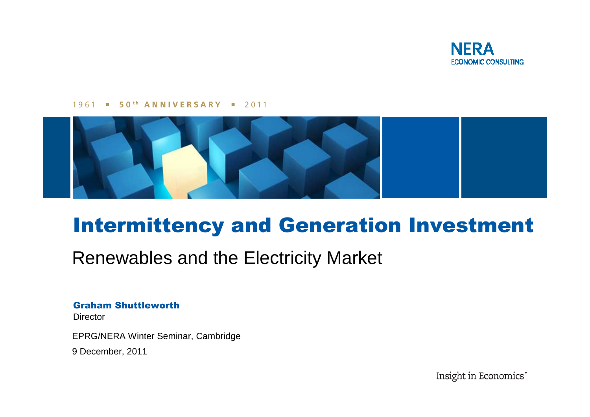

#### 1961 **50th ANNIVERSARY = 2011**



# Intermittency and Generation Investment

### Renewables and the Electricity Market

#### Graham Shuttleworth

**Director** 

EPRG/NERA Winter Seminar, Cambridge

9 December, 2011

Insight in Economics"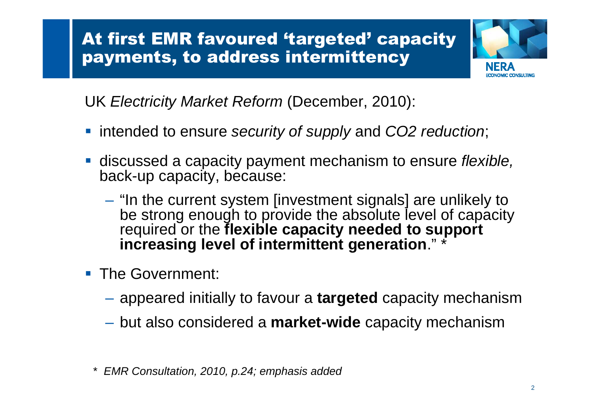

UK Electricity Market Reform (December, 2010):

- intended to ensure security of supply and CO2 reduction;
- discussed a capacity payment mechanism to ensure flexible, back-up capacity, because:
	- **Hart Committee** - "In the current system [investment signals] are unlikely to<br>he strang enough to provide the obsolute lovel of conocity be strong enough to provide the absolute level of capacity required or the **flexible capacity needed to support increasing level of intermittent generation**." \*
- **The Government:** 
	- appeared initially to favour a **targeted** capacity mechanism
	- but also considered a **market-wide** capacity mechanism
	- \* EMR Consultation, 2010, p.24; emphasis added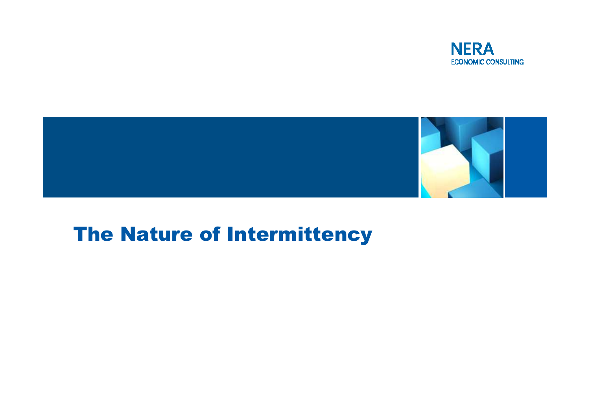



## The Nature of Intermittency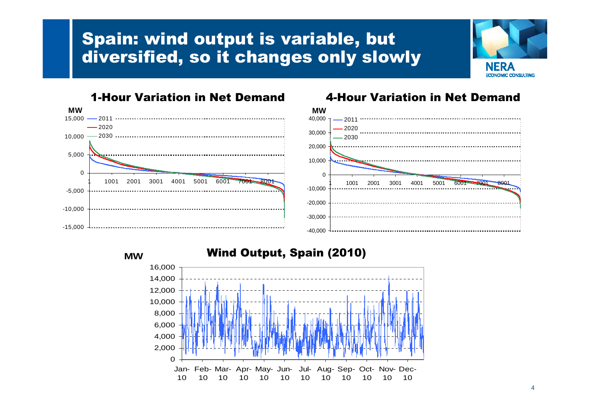### Spain: wind output is variable, but diversified, so it changes only slowly





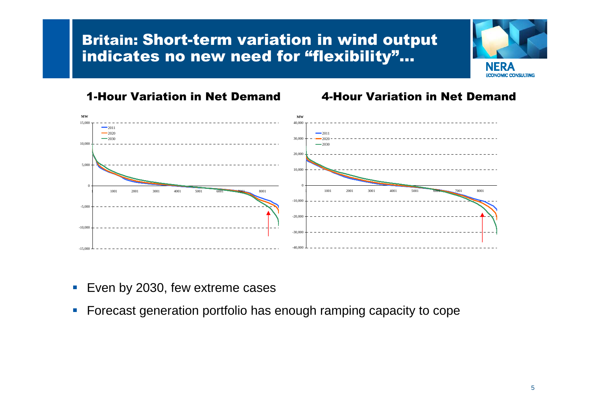### Britain: Short-term variation in wind output indicates no new need for "flexibility"...



#### 1-Hour Variation in Net Demand 4-Hour Variation in Net Demand



- Even by 2030, few extreme cases
- **Forecast generation portfolio has enough ramping capacity to cope**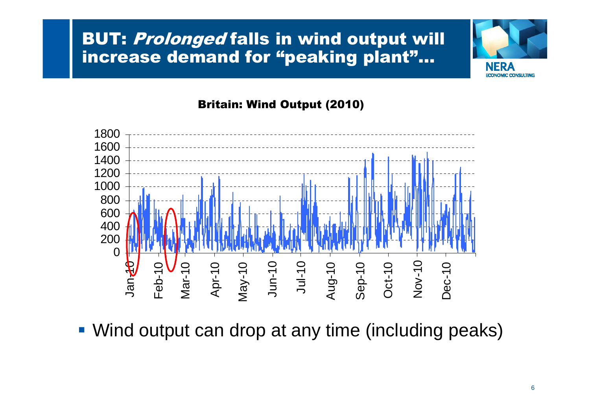### BUT: *Prolonged* falls in wind output will<br>inexesse demand for "neaking plant" increase demand for "peaking plant"…



### Britain: Wind Output (2010)



Wind output can drop at any time (including peaks)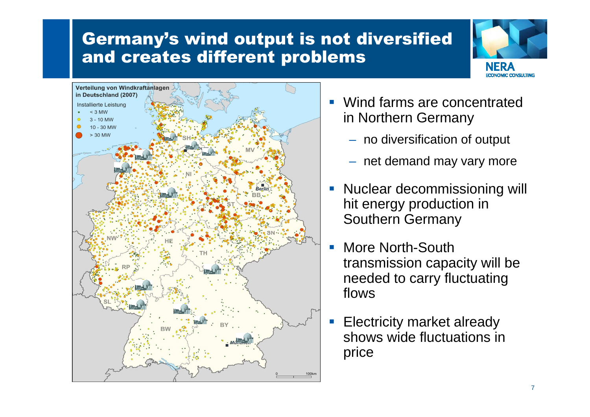### Germany's wind output is not diversified and creates different problems





- Wind farms are concentrated in Northern Germany
	- no diversification of output
	- net demand may vary more
- Nuclear decommissioning will hit energy production in Southern Germany
- More North-South transmission capacity will be needed to carry fluctuating flows
- Electricity market already shows wide fluctuations in price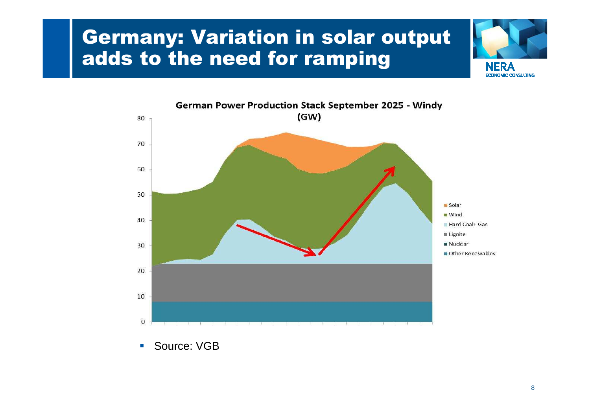## Germany: Variation in solar output adds to the need for ramping





 $\mathcal{L}_{\mathcal{A}}$ Source: VGB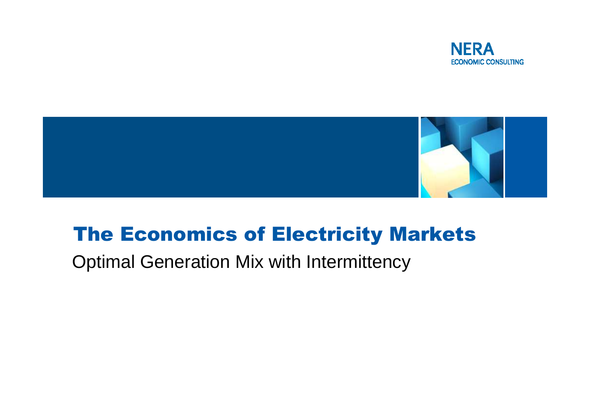



# The Economics of Electricity Markets

Optimal Generation Mix with Intermittency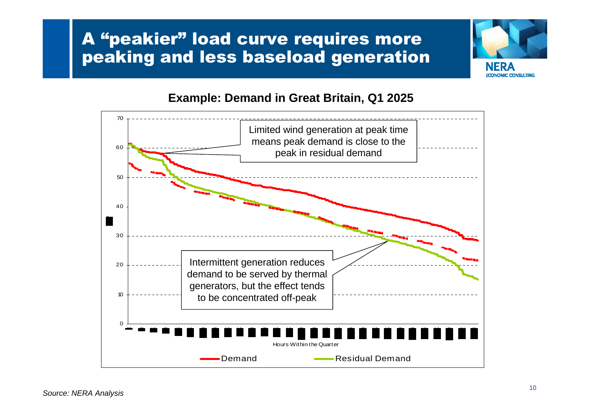### A "peakier" load curve requires more peaking and less baseload generation



### **Example: Demand in Great Britain, Q1 2025**

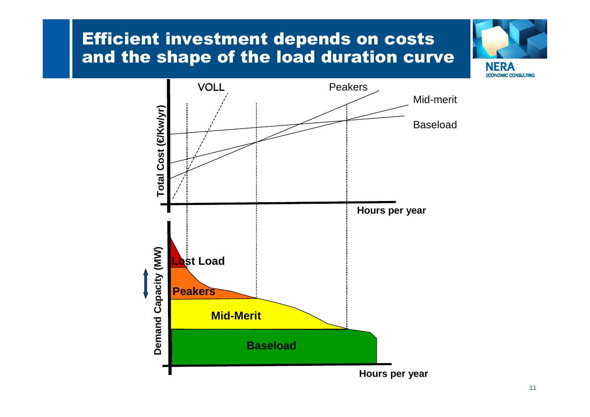### Efficient investment depends on costs and the shape of the load duration curve



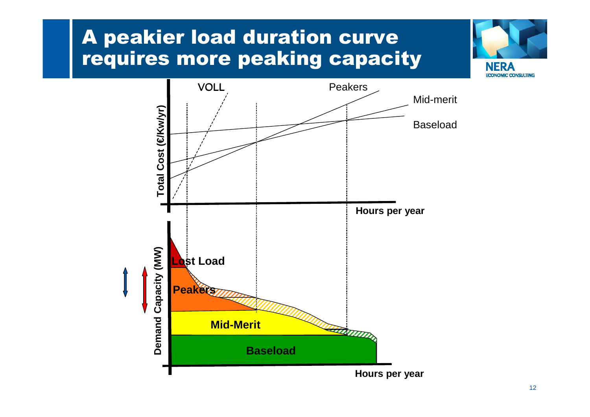# A peakier load duration curve requires more peaking capacity



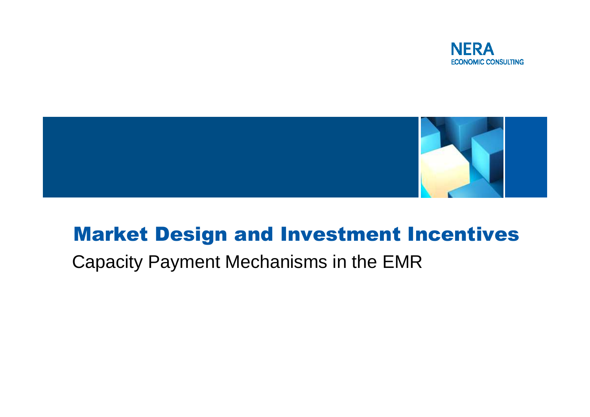



## Market Design and Investment Incentives

Capacity Payment Mechanisms in the EMR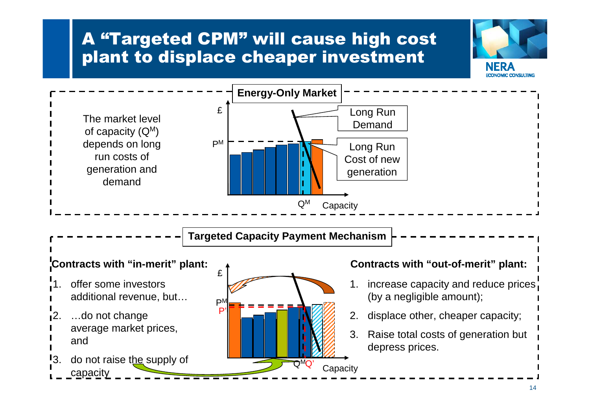### A "Targeted CPM" will cause high cost plant to displace cheaper investment



**MIC CONSHITING**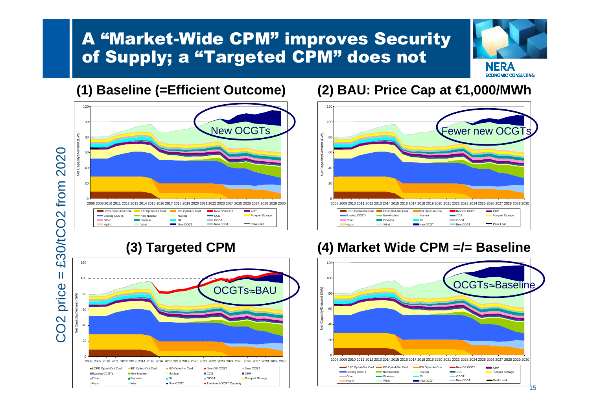### A "Market-Wide CPM" improves Security of Supply; a "Targeted CPM" does not



### **(1) Baseline (=Efficient Outcome)**



### **(2) BAU: Price Cap at €1,000/MWh**



### **(3) Targeted CPM**



### **(4) Market Wide CPM =/= Baseline**

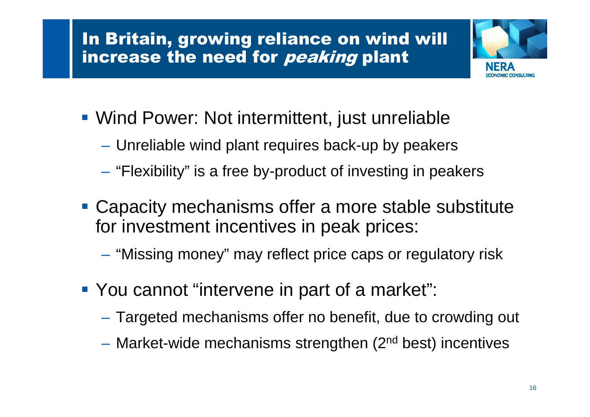# In Britain, growing reliance on wind will increase the need for *peaking* plant



- Wind Power: Not intermittent, just unreliable
	- Unreliable wind plant requires back-up by peakers
	- $-$  "Flexibility" is a free by-product of investing in peakers
- **Capacity mechanisms offer a more stable substitute** for investment incentives in peak prices:
	- $-$  "Missing money" may reflect price caps or regulatory risk
- **You cannot "intervene in part of a market":** 
	- Targeted mechanisms offer no benefit, due to crowding out
	- Market-wide mechanisms strengthen (2<sup>nd</sup> best) incentives